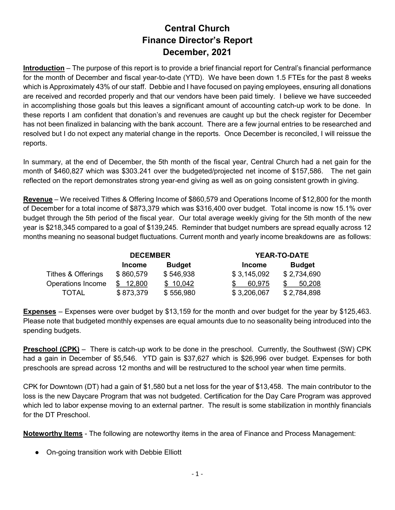## Central Church Finance Director's Report December, 2021

Introduction – The purpose of this report is to provide a brief financial report for Central's financial performance for the month of December and fiscal year-to-date (YTD). We have been down 1.5 FTEs for the past 8 weeks which is Approximately 43% of our staff. Debbie and I have focused on paying employees, ensuring all donations are received and recorded properly and that our vendors have been paid timely. I believe we have succeeded in accomplishing those goals but this leaves a significant amount of accounting catch-up work to be done. In these reports I am confident that donation's and revenues are caught up but the check register for December has not been finalized in balancing with the bank account. There are a few journal entries to be researched and resolved but I do not expect any material change in the reports. Once December is reconciled, I will reissue the reports.

In summary, at the end of December, the 5th month of the fiscal year, Central Church had a net gain for the month of \$460,827 which was \$303.241 over the budgeted/projected net income of \$157,586. The net gain reflected on the report demonstrates strong year-end giving as well as on going consistent growth in giving.

Revenue – We received Tithes & Offering Income of \$860,579 and Operations Income of \$12,800 for the month of December for a total income of \$873,379 which was \$316,400 over budget. Total income is now 15.1% over budget through the 5th period of the fiscal year. Our total average weekly giving for the 5th month of the new year is \$218,345 compared to a goal of \$139,245. Reminder that budget numbers are spread equally across 12 months meaning no seasonal budget fluctuations. Current month and yearly income breakdowns are as follows:

|                    | <b>DECEMBER</b> |               |               | <b>YEAR-TO-DATE</b> |  |
|--------------------|-----------------|---------------|---------------|---------------------|--|
|                    | <b>Income</b>   | <b>Budget</b> | <b>Income</b> | <b>Budget</b>       |  |
| Tithes & Offerings | \$860,579       | \$546,938     | \$3,145,092   | \$2,734,690         |  |
| Operations Income  | \$12,800        | \$10,042      | 60.975        | 50,208              |  |
| TOTAL              | \$873,379       | \$556,980     | \$3,206,067   | \$2,784,898         |  |

Expenses – Expenses were over budget by \$13,159 for the month and over budget for the year by \$125,463. Please note that budgeted monthly expenses are equal amounts due to no seasonality being introduced into the spending budgets.

**Preschool (CPK)** – There is catch-up work to be done in the preschool. Currently, the Southwest (SW) CPK had a gain in December of \$5,546. YTD gain is \$37,627 which is \$26,996 over budget. Expenses for both preschools are spread across 12 months and will be restructured to the school year when time permits.

CPK for Downtown (DT) had a gain of \$1,580 but a net loss for the year of \$13,458. The main contributor to the loss is the new Daycare Program that was not budgeted. Certification for the Day Care Program was approved which led to labor expense moving to an external partner. The result is some stabilization in monthly financials for the DT Preschool.

Noteworthy Items - The following are noteworthy items in the area of Finance and Process Management:

● On-going transition work with Debbie Elliott